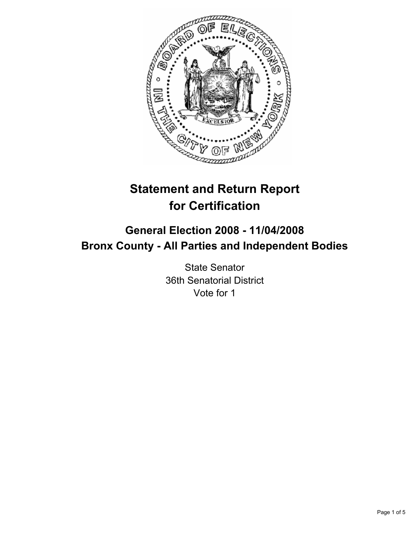

# **Statement and Return Report for Certification**

## **General Election 2008 - 11/04/2008 Bronx County - All Parties and Independent Bodies**

State Senator 36th Senatorial District Vote for 1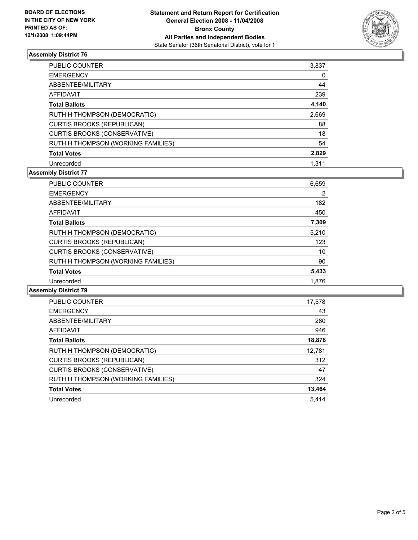

## **Assembly District 76**

| <b>PUBLIC COUNTER</b>               | 3,837 |
|-------------------------------------|-------|
| <b>EMERGENCY</b>                    | 0     |
| ABSENTEE/MILITARY                   | 44    |
| <b>AFFIDAVIT</b>                    | 239   |
| <b>Total Ballots</b>                | 4,140 |
| RUTH H THOMPSON (DEMOCRATIC)        | 2,669 |
| <b>CURTIS BROOKS (REPUBLICAN)</b>   | 88    |
| <b>CURTIS BROOKS (CONSERVATIVE)</b> | 18    |
| RUTH H THOMPSON (WORKING FAMILIES)  | 54    |
| <b>Total Votes</b>                  | 2,829 |
| Unrecorded                          | 1.311 |

## **Assembly District 77**

| <b>PUBLIC COUNTER</b>               | 6,659 |
|-------------------------------------|-------|
| <b>EMERGENCY</b>                    | 2     |
| ABSENTEE/MILITARY                   | 182   |
| AFFIDAVIT                           | 450   |
| <b>Total Ballots</b>                | 7,309 |
| RUTH H THOMPSON (DEMOCRATIC)        | 5,210 |
| <b>CURTIS BROOKS (REPUBLICAN)</b>   | 123   |
| <b>CURTIS BROOKS (CONSERVATIVE)</b> | 10    |
| RUTH H THOMPSON (WORKING FAMILIES)  | 90    |
| <b>Total Votes</b>                  | 5,433 |
| Unrecorded                          | 1.876 |

#### **Assembly District 79**

| <b>PUBLIC COUNTER</b>               | 17,578 |
|-------------------------------------|--------|
| <b>EMERGENCY</b>                    | 43     |
| ABSENTEE/MILITARY                   | 280    |
| <b>AFFIDAVIT</b>                    | 946    |
| <b>Total Ballots</b>                | 18,878 |
| RUTH H THOMPSON (DEMOCRATIC)        | 12,781 |
| <b>CURTIS BROOKS (REPUBLICAN)</b>   | 312    |
| <b>CURTIS BROOKS (CONSERVATIVE)</b> | 47     |
| RUTH H THOMPSON (WORKING FAMILIES)  | 324    |
| <b>Total Votes</b>                  | 13,464 |
| Unrecorded                          | 5.414  |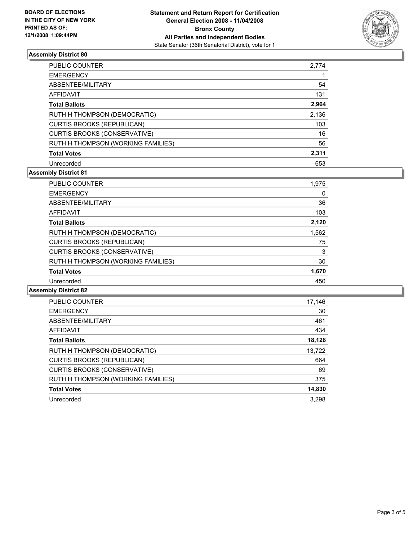

## **Assembly District 80**

| <b>PUBLIC COUNTER</b>               | 2,774 |
|-------------------------------------|-------|
| <b>EMERGENCY</b>                    |       |
| ABSENTEE/MILITARY                   | 54    |
| <b>AFFIDAVIT</b>                    | 131   |
| <b>Total Ballots</b>                | 2,964 |
| RUTH H THOMPSON (DEMOCRATIC)        | 2,136 |
| <b>CURTIS BROOKS (REPUBLICAN)</b>   | 103   |
| <b>CURTIS BROOKS (CONSERVATIVE)</b> | 16    |
| RUTH H THOMPSON (WORKING FAMILIES)  | 56    |
| <b>Total Votes</b>                  | 2,311 |
| Unrecorded                          | 653   |

## **Assembly District 81**

| <b>PUBLIC COUNTER</b>               | 1,975 |  |
|-------------------------------------|-------|--|
| <b>EMERGENCY</b>                    | 0     |  |
| ABSENTEE/MILITARY                   | 36    |  |
| AFFIDAVIT                           | 103   |  |
| <b>Total Ballots</b>                | 2,120 |  |
| RUTH H THOMPSON (DEMOCRATIC)        | 1,562 |  |
| <b>CURTIS BROOKS (REPUBLICAN)</b>   | 75    |  |
| <b>CURTIS BROOKS (CONSERVATIVE)</b> | 3     |  |
| RUTH H THOMPSON (WORKING FAMILIES)  | 30    |  |
| <b>Total Votes</b>                  | 1,670 |  |
| Unrecorded                          | 450   |  |

#### **Assembly District 82**

| <b>PUBLIC COUNTER</b>               | 17,146 |
|-------------------------------------|--------|
| <b>EMERGENCY</b>                    | 30     |
| ABSENTEE/MILITARY                   | 461    |
| AFFIDAVIT                           | 434    |
| <b>Total Ballots</b>                | 18,128 |
| RUTH H THOMPSON (DEMOCRATIC)        | 13,722 |
| <b>CURTIS BROOKS (REPUBLICAN)</b>   | 664    |
| <b>CURTIS BROOKS (CONSERVATIVE)</b> | 69     |
| RUTH H THOMPSON (WORKING FAMILIES)  | 375    |
| <b>Total Votes</b>                  | 14,830 |
| Unrecorded                          | 3.298  |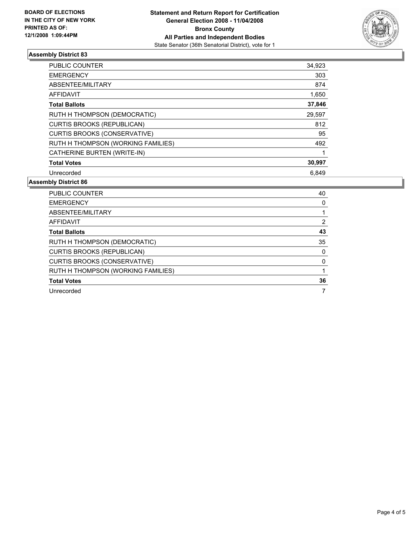

## **Assembly District 83**

| <b>PUBLIC COUNTER</b>               | 34,923 |  |
|-------------------------------------|--------|--|
| <b>EMERGENCY</b>                    | 303    |  |
| ABSENTEE/MILITARY                   | 874    |  |
| AFFIDAVIT                           | 1,650  |  |
| <b>Total Ballots</b>                | 37,846 |  |
| RUTH H THOMPSON (DEMOCRATIC)        | 29,597 |  |
| <b>CURTIS BROOKS (REPUBLICAN)</b>   | 812    |  |
| <b>CURTIS BROOKS (CONSERVATIVE)</b> | 95     |  |
| RUTH H THOMPSON (WORKING FAMILIES)  | 492    |  |
| CATHERINE BURTEN (WRITE-IN)         |        |  |
| <b>Total Votes</b>                  | 30,997 |  |
| Unrecorded                          | 6.849  |  |

#### **Assembly District 86**

| <b>PUBLIC COUNTER</b>               | 40 |
|-------------------------------------|----|
| <b>EMERGENCY</b>                    |    |
| ABSENTEE/MILITARY                   |    |
| AFFIDAVIT                           |    |
| <b>Total Ballots</b>                | 43 |
| RUTH H THOMPSON (DEMOCRATIC)        | 35 |
| <b>CURTIS BROOKS (REPUBLICAN)</b>   |    |
| <b>CURTIS BROOKS (CONSERVATIVE)</b> |    |
| RUTH H THOMPSON (WORKING FAMILIES)  |    |
| <b>Total Votes</b>                  | 36 |
| Unrecorded                          |    |